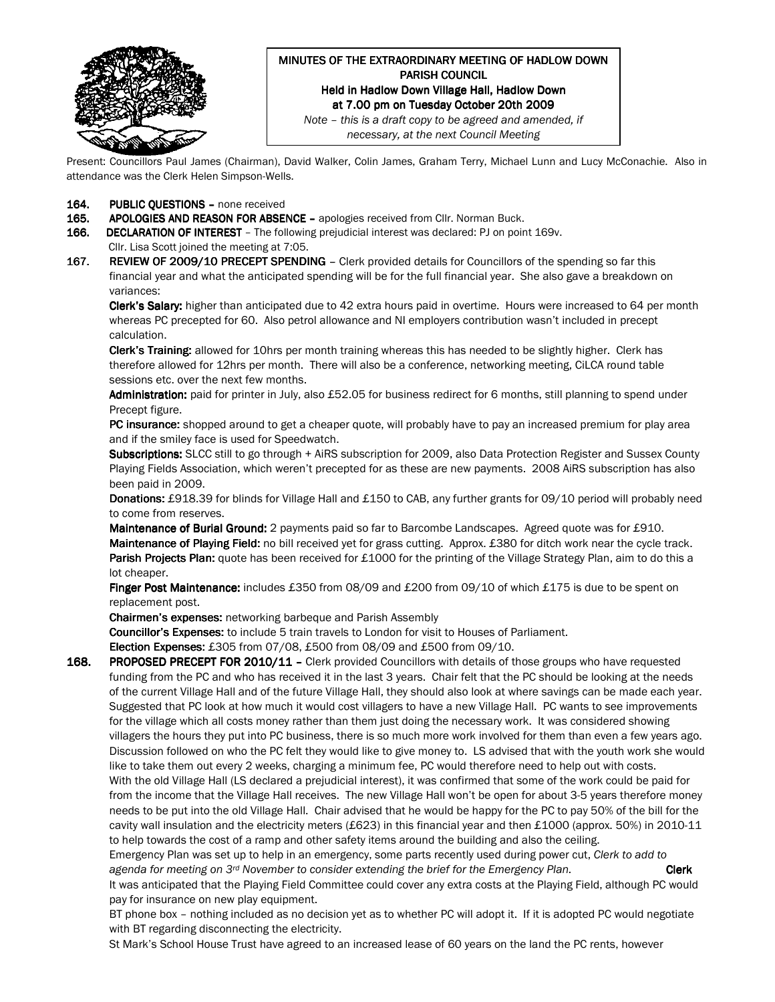

# MINUTES OF THE EXTRAORDINARY MEETING OF HADLOW DOWN PARISH COUNCIL Held in Hadlow Down Village Hall, Hadlow Down at 7.00 pm on Tuesday October 20th 2009

Note – this is a draft copy to be agreed and amended, if necessary, at the next Council Meeting

Present: Councillors Paul James (Chairman), David Walker, Colin James, Graham Terry, Michael Lunn and Lucy McConachie. Also in attendance was the Clerk Helen Simpson-Wells.

- 164. PUBLIC QUESTIONS none received
- 165. APOLOGIES AND REASON FOR ABSENCE apologies received from Cllr. Norman Buck.
- 166. DECLARATION OF INTEREST The following prejudicial interest was declared: PJ on point 169v.
- Cllr. Lisa Scott joined the meeting at 7:05.
- 167. REVIEW OF 2009/10 PRECEPT SPENDING Clerk provided details for Councillors of the spending so far this financial year and what the anticipated spending will be for the full financial year. She also gave a breakdown on variances:

Clerk's Salary: higher than anticipated due to 42 extra hours paid in overtime. Hours were increased to 64 per month whereas PC precepted for 60. Also petrol allowance and NI employers contribution wasn't included in precept calculation.

Clerk's Training: allowed for 10hrs per month training whereas this has needed to be slightly higher. Clerk has therefore allowed for 12hrs per month. There will also be a conference, networking meeting, CiLCA round table sessions etc. over the next few months.

Administration: paid for printer in July, also £52.05 for business redirect for 6 months, still planning to spend under Precept figure.

PC insurance: shopped around to get a cheaper quote, will probably have to pay an increased premium for play area and if the smiley face is used for Speedwatch.

Subscriptions: SLCC still to go through + AiRS subscription for 2009, also Data Protection Register and Sussex County Playing Fields Association, which weren't precepted for as these are new payments. 2008 AiRS subscription has also been paid in 2009.

Donations: £918.39 for blinds for Village Hall and £150 to CAB, any further grants for 09/10 period will probably need to come from reserves.

Maintenance of Burial Ground: 2 payments paid so far to Barcombe Landscapes. Agreed quote was for £910. Maintenance of Playing Field: no bill received yet for grass cutting. Approx. £380 for ditch work near the cycle track. Parish Projects Plan: quote has been received for £1000 for the printing of the Village Strategy Plan, aim to do this a lot cheaper.

Finger Post Maintenance: includes £350 from 08/09 and £200 from 09/10 of which £175 is due to be spent on replacement post.

Chairmen's expenses: networking barbeque and Parish Assembly

Councillor's Expenses: to include 5 train travels to London for visit to Houses of Parliament.

Election Expenses: £305 from 07/08, £500 from 08/09 and £500 from 09/10.

168. PROPOSED PRECEPT FOR 2010/11 - Clerk provided Councillors with details of those groups who have requested funding from the PC and who has received it in the last 3 years. Chair felt that the PC should be looking at the needs of the current Village Hall and of the future Village Hall, they should also look at where savings can be made each year. Suggested that PC look at how much it would cost villagers to have a new Village Hall. PC wants to see improvements for the village which all costs money rather than them just doing the necessary work. It was considered showing villagers the hours they put into PC business, there is so much more work involved for them than even a few years ago. Discussion followed on who the PC felt they would like to give money to. LS advised that with the youth work she would like to take them out every 2 weeks, charging a minimum fee, PC would therefore need to help out with costs. With the old Village Hall (LS declared a prejudicial interest), it was confirmed that some of the work could be paid for

from the income that the Village Hall receives. The new Village Hall won't be open for about 3-5 years therefore money needs to be put into the old Village Hall. Chair advised that he would be happy for the PC to pay 50% of the bill for the cavity wall insulation and the electricity meters (£623) in this financial year and then £1000 (approx. 50%) in 2010-11 to help towards the cost of a ramp and other safety items around the building and also the ceiling.

Emergency Plan was set up to help in an emergency, some parts recently used during power cut, Clerk to add to agenda for meeting on  $3^{rd}$  November to consider extending the brief for the Emergency Plan. Clerk

It was anticipated that the Playing Field Committee could cover any extra costs at the Playing Field, although PC would pay for insurance on new play equipment.

BT phone box – nothing included as no decision yet as to whether PC will adopt it. If it is adopted PC would negotiate with BT regarding disconnecting the electricity.

St Mark's School House Trust have agreed to an increased lease of 60 years on the land the PC rents, however